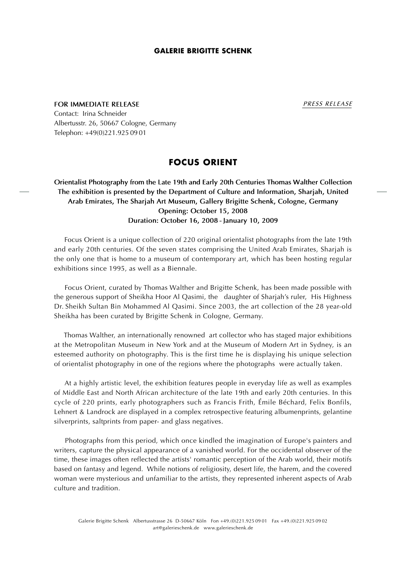#### **GALERIE BRIGITTE SCHENK**

**FOR IMMEDIATE RELEASE** *PRESS RELEASE*

Contact: Irina Schneider Albertusstr. 26, 50667 Cologne, Germany Telephon: +49(0)221.9250901

# **FOCUS ORIENT**

# **Orientalist Photography from the Late 19th and Early 20th Centuries Thomas Walther Collection The exhibition is presented by the Department of Culture and Information, Sharjah, United Arab Emirates, The Sharjah Art Museum, Gallery Brigitte Schenk, Cologne, Germany Opening: October 15, 2008 Duration: October 16, 2008 - January 10, 2009**

 Focus Orient is a unique collection of 220 original orientalist photographs from the late 19th and early 20th centuries. Of the seven states comprising the United Arab Emirates, Sharjah is the only one that is home to a museum of contemporary art, which has been hosting regular exhibitions since 1995, as well as a Biennale.

 Focus Orient, curated by Thomas Walther and Brigitte Schenk, has been made possible with the generous support of Sheikha Hoor Al Qasimi, the daughter of Sharjah's ruler, His Highness Dr. Sheikh Sultan Bin Mohammed Al Qasimi. Since 2003, the art collection of the 28 year-old Sheikha has been curated by Brigitte Schenk in Cologne, Germany.

 Thomas Walther, an internationally renowned art collector who has staged major exhibitions at the Metropolitan Museum in New York and at the Museum of Modern Art in Sydney, is an esteemed authority on photography. This is the first time he is displaying his unique selection of orientalist photography in one of the regions where the photographs were actually taken.

 At a highly artistic level, the exhibition features people in everyday life as well as examples of Middle East and North African architecture of the late 19th and early 20th centuries. In this cycle of 220 prints, early photographers such as Francis Frith, Émile Béchard, Felix Bonfils, Lehnert & Landrock are displayed in a complex retrospective featuring albumenprints, gelantine silverprints, saltprints from paper- and glass negatives.

 Photographs from this period, which once kindled the imagination of Europe's painters and writers, capture the physical appearance of a vanished world. For the occidental observer of the time, these images often reflected the artists' romantic perception of the Arab world, their motifs based on fantasy and legend. While notions of religiosity, desert life, the harem, and the covered woman were mysterious and unfamiliar to the artists, they represented inherent aspects of Arab culture and tradition.